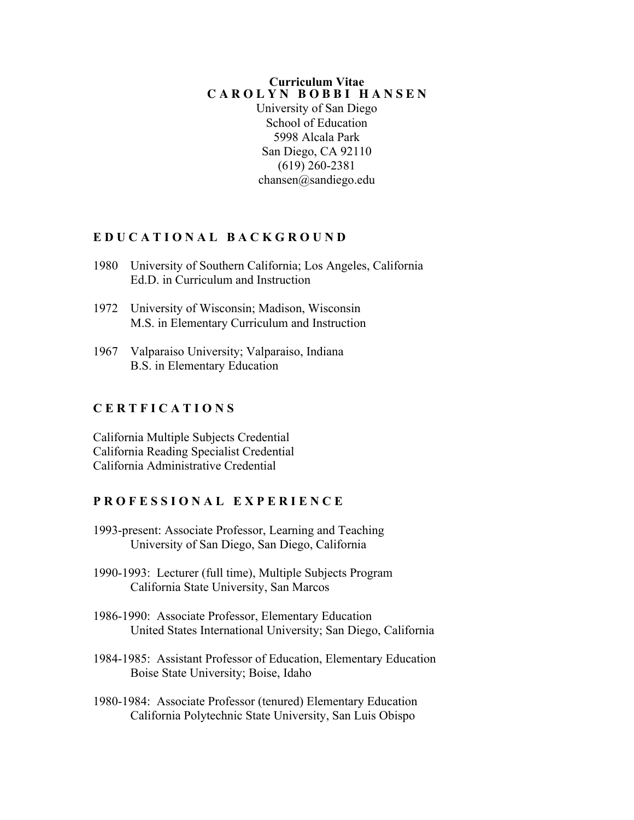#### **Curriculum Vitae C A R O L Y N B O B B I H A N S E N**

University of San Diego School of Education 5998 Alcala Park San Diego, CA 92110 (619) 260-2381 chansen@sandiego.edu

### **E D U C A T I O N A L B A C K G R O U N D**

- 1980 University of Southern California; Los Angeles, California Ed.D. in Curriculum and Instruction
- 1972 University of Wisconsin; Madison, Wisconsin M.S. in Elementary Curriculum and Instruction
- 1967 Valparaiso University; Valparaiso, Indiana B.S. in Elementary Education

### **C E R T F I C A T I O N S**

California Multiple Subjects Credential California Reading Specialist Credential California Administrative Credential

### **P R O F E S S I O N A L E X P E R I E N C E**

- 1993-present: Associate Professor, Learning and Teaching University of San Diego, San Diego, California
- 1990-1993: Lecturer (full time), Multiple Subjects Program California State University, San Marcos
- 1986-1990: Associate Professor, Elementary Education United States International University; San Diego, California
- 1984-1985: Assistant Professor of Education, Elementary Education Boise State University; Boise, Idaho
- 1980-1984: Associate Professor (tenured) Elementary Education California Polytechnic State University, San Luis Obispo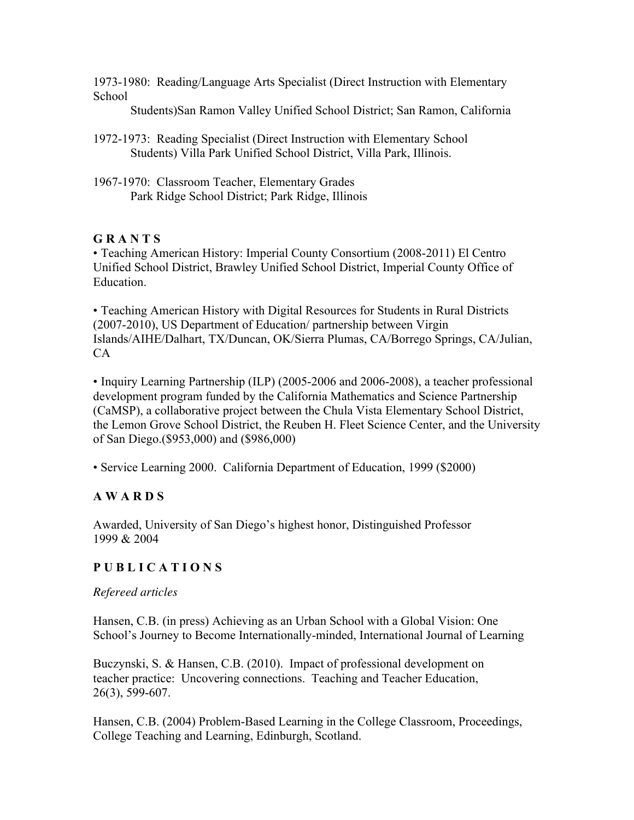1973-1980: Reading/Language Arts Specialist (Direct Instruction with Elementary School

Students)San Ramon Valley Unified School District; San Ramon, California

- 1972-1973: Reading Specialist (Direct Instruction with Elementary School Students) Villa Park Unified School District, Villa Park, Illinois.
- 1967-1970: Classroom Teacher, Elementary Grades Park Ridge School District; Park Ridge, Illinois

## **G R A N T S**

• Teaching American History: Imperial County Consortium (2008-2011) El Centro Unified School District, Brawley Unified School District, Imperial County Office of **Education** 

• Teaching American History with Digital Resources for Students in Rural Districts (2007-2010), US Department of Education/ partnership between Virgin Islands/AIHE/Dalhart, TX/Duncan, OK/Sierra Plumas, CA/Borrego Springs, CA/Julian, CA

• Inquiry Learning Partnership (ILP) (2005-2006 and 2006-2008), a teacher professional development program funded by the California Mathematics and Science Partnership (CaMSP), a collaborative project between the Chula Vista Elementary School District, the Lemon Grove School District, the Reuben H. Fleet Science Center, and the University of San Diego.(\$953,000) and (\$986,000)

• Service Learning 2000. California Department of Education, 1999 (\$2000)

## **A W A R D S**

Awarded, University of San Diego's highest honor, Distinguished Professor 1999 & 2004

## **P U B L I C A T I O N S**

## *Refereed articles*

Hansen, C.B. (in press) Achieving as an Urban School with a Global Vision: One School's Journey to Become Internationally-minded, International Journal of Learning

Buczynski, S. & Hansen, C.B. (2010). Impact of professional development on teacher practice: Uncovering connections. Teaching and Teacher Education, 26(3), 599-607.

Hansen, C.B. (2004) Problem-Based Learning in the College Classroom, Proceedings, College Teaching and Learning, Edinburgh, Scotland.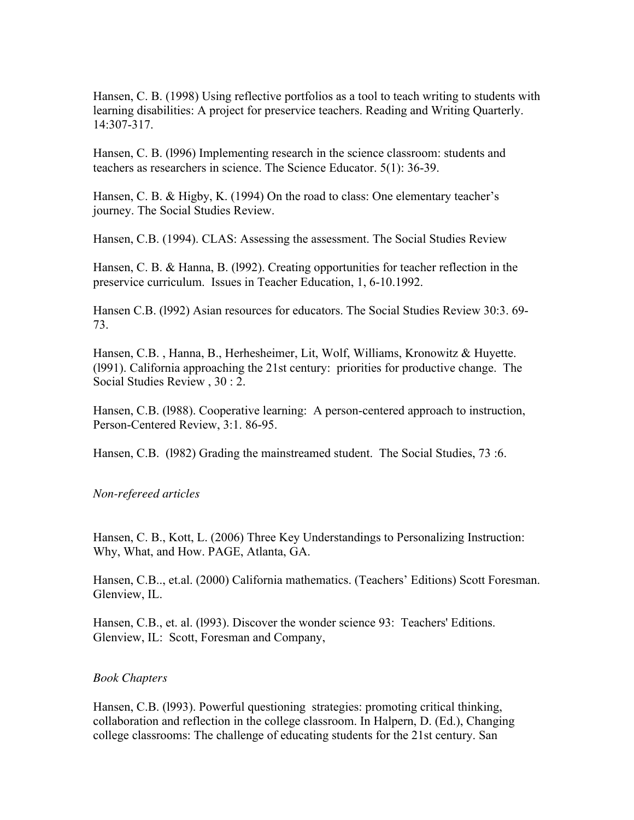Hansen, C. B. (1998) Using reflective portfolios as a tool to teach writing to students with learning disabilities: A project for preservice teachers. Reading and Writing Quarterly. 14:307-317.

Hansen, C. B. (l996) Implementing research in the science classroom: students and teachers as researchers in science. The Science Educator. 5(1): 36-39.

Hansen, C. B. & Higby, K. (1994) On the road to class: One elementary teacher's journey. The Social Studies Review.

Hansen, C.B. (1994). CLAS: Assessing the assessment. The Social Studies Review

Hansen, C. B. & Hanna, B. (l992). Creating opportunities for teacher reflection in the preservice curriculum. Issues in Teacher Education, 1, 6-10.1992.

Hansen C.B. (l992) Asian resources for educators. The Social Studies Review 30:3. 69- 73.

Hansen, C.B. , Hanna, B., Herhesheimer, Lit, Wolf, Williams, Kronowitz & Huyette. (l991). California approaching the 21st century: priorities for productive change. The Social Studies Review , 30 : 2.

Hansen, C.B. (l988). Cooperative learning: A person-centered approach to instruction, Person-Centered Review, 3:1. 86-95.

Hansen, C.B. (l982) Grading the mainstreamed student. The Social Studies, 73 :6.

#### *Non-refereed articles*

Hansen, C. B., Kott, L. (2006) Three Key Understandings to Personalizing Instruction: Why, What, and How. PAGE, Atlanta, GA.

Hansen, C.B.., et.al. (2000) California mathematics. (Teachers' Editions) Scott Foresman. Glenview, IL.

Hansen, C.B., et. al. (l993). Discover the wonder science 93: Teachers' Editions. Glenview, IL: Scott, Foresman and Company,

#### *Book Chapters*

Hansen, C.B. (l993). Powerful questioning strategies: promoting critical thinking, collaboration and reflection in the college classroom. In Halpern, D. (Ed.), Changing college classrooms: The challenge of educating students for the 21st century. San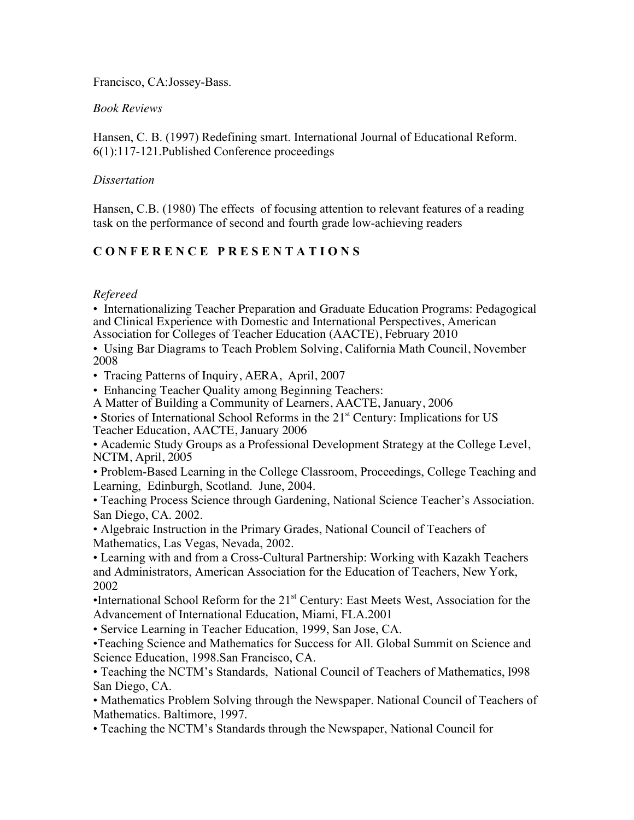Francisco, CA:Jossey-Bass.

### *Book Reviews*

Hansen, C. B. (1997) Redefining smart. International Journal of Educational Reform. 6(1):117-121.Published Conference proceedings

### *Dissertation*

Hansen, C.B. (1980) The effects of focusing attention to relevant features of a reading task on the performance of second and fourth grade low-achieving readers

## **C O N F E R E N C E P R E S E N T A T I O N S**

## *Refereed*

• Internationalizing Teacher Preparation and Graduate Education Programs: Pedagogical and Clinical Experience with Domestic and International Perspectives, American Association for Colleges of Teacher Education (AACTE), February 2010

• Using Bar Diagrams to Teach Problem Solving, California Math Council, November 2008

• Tracing Patterns of Inquiry, AERA, April, 2007

• Enhancing Teacher Quality among Beginning Teachers:

A Matter of Building a Community of Learners, AACTE, January, 2006

• Stories of International School Reforms in the 21<sup>st</sup> Century: Implications for US Teacher Education, AACTE, January 2006

• Academic Study Groups as a Professional Development Strategy at the College Level, NCTM, April, 2005

• Problem-Based Learning in the College Classroom, Proceedings, College Teaching and Learning, Edinburgh, Scotland. June, 2004.

• Teaching Process Science through Gardening, National Science Teacher's Association. San Diego, CA. 2002.

• Algebraic Instruction in the Primary Grades, National Council of Teachers of Mathematics, Las Vegas, Nevada, 2002.

• Learning with and from a Cross-Cultural Partnership: Working with Kazakh Teachers and Administrators, American Association for the Education of Teachers, New York, 2002

•International School Reform for the  $21<sup>st</sup>$  Century: East Meets West, Association for the Advancement of International Education, Miami, FLA.2001

• Service Learning in Teacher Education, 1999, San Jose, CA.

•Teaching Science and Mathematics for Success for All. Global Summit on Science and Science Education, 1998.San Francisco, CA.

• Teaching the NCTM's Standards, National Council of Teachers of Mathematics, l998 San Diego, CA.

• Mathematics Problem Solving through the Newspaper. National Council of Teachers of Mathematics. Baltimore, 1997.

• Teaching the NCTM's Standards through the Newspaper, National Council for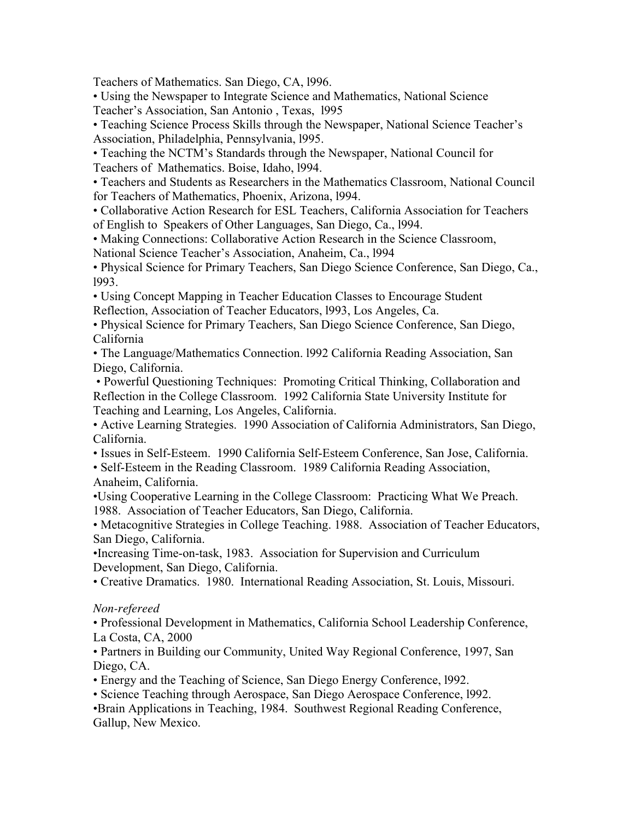Teachers of Mathematics. San Diego, CA, l996.

• Using the Newspaper to Integrate Science and Mathematics, National Science Teacher's Association, San Antonio , Texas, l995

• Teaching Science Process Skills through the Newspaper, National Science Teacher's Association, Philadelphia, Pennsylvania, l995.

• Teaching the NCTM's Standards through the Newspaper, National Council for Teachers of Mathematics. Boise, Idaho, l994.

• Teachers and Students as Researchers in the Mathematics Classroom, National Council for Teachers of Mathematics, Phoenix, Arizona, l994.

• Collaborative Action Research for ESL Teachers, California Association for Teachers of English to Speakers of Other Languages, San Diego, Ca., l994.

• Making Connections: Collaborative Action Research in the Science Classroom,

National Science Teacher's Association, Anaheim, Ca., l994

• Physical Science for Primary Teachers, San Diego Science Conference, San Diego, Ca., l993.

• Using Concept Mapping in Teacher Education Classes to Encourage Student Reflection, Association of Teacher Educators, l993, Los Angeles, Ca.

• Physical Science for Primary Teachers, San Diego Science Conference, San Diego, California

• The Language/Mathematics Connection. l992 California Reading Association, San Diego, California.

• Powerful Questioning Techniques: Promoting Critical Thinking, Collaboration and Reflection in the College Classroom. 1992 California State University Institute for Teaching and Learning, Los Angeles, California.

• Active Learning Strategies. 1990 Association of California Administrators, San Diego, California.

• Issues in Self-Esteem. 1990 California Self-Esteem Conference, San Jose, California.

• Self-Esteem in the Reading Classroom. 1989 California Reading Association, Anaheim, California.

•Using Cooperative Learning in the College Classroom: Practicing What We Preach. 1988. Association of Teacher Educators, San Diego, California.

• Metacognitive Strategies in College Teaching. 1988. Association of Teacher Educators, San Diego, California.

•Increasing Time-on-task, 1983. Association for Supervision and Curriculum Development, San Diego, California.

• Creative Dramatics. 1980. International Reading Association, St. Louis, Missouri.

## *Non-refereed*

• Professional Development in Mathematics, California School Leadership Conference, La Costa, CA, 2000

• Partners in Building our Community, United Way Regional Conference, 1997, San Diego, CA.

• Energy and the Teaching of Science, San Diego Energy Conference, l992.

• Science Teaching through Aerospace, San Diego Aerospace Conference, l992.

•Brain Applications in Teaching, 1984. Southwest Regional Reading Conference, Gallup, New Mexico.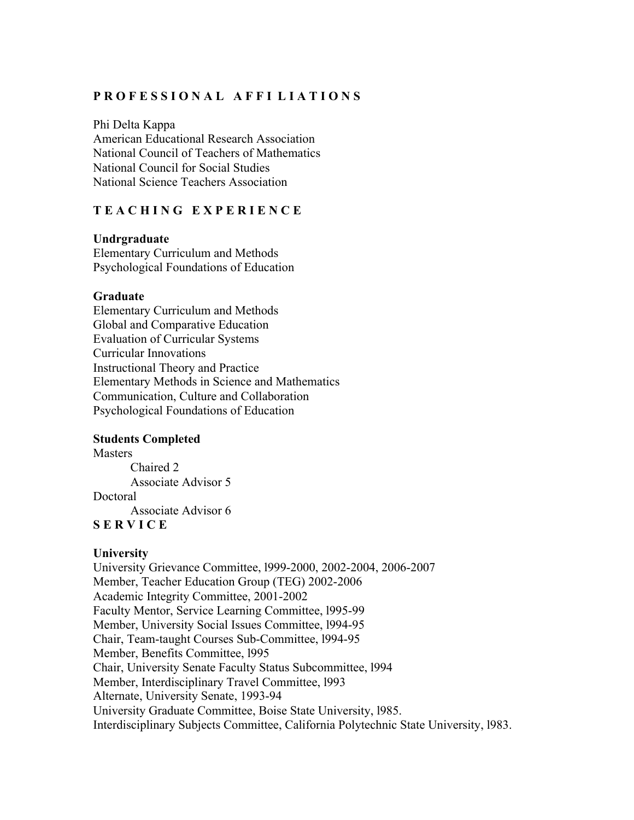### **P R O F E S S I O N A L A F F I L I A T I O N S**

Phi Delta Kappa American Educational Research Association National Council of Teachers of Mathematics National Council for Social Studies National Science Teachers Association

### **T E A C H I N G E X P E R I E N C E**

#### **Undrgraduate**

Elementary Curriculum and Methods Psychological Foundations of Education

#### **Graduate**

Elementary Curriculum and Methods Global and Comparative Education Evaluation of Curricular Systems Curricular Innovations Instructional Theory and Practice Elementary Methods in Science and Mathematics Communication, Culture and Collaboration Psychological Foundations of Education

### **Students Completed**

**Masters** Chaired 2 Associate Advisor 5 Doctoral Associate Advisor 6 **S E R V I C E**

### **University**

University Grievance Committee, l999-2000, 2002-2004, 2006-2007 Member, Teacher Education Group (TEG) 2002-2006 Academic Integrity Committee, 2001-2002 Faculty Mentor, Service Learning Committee, l995-99 Member, University Social Issues Committee, l994-95 Chair, Team-taught Courses Sub-Committee, l994-95 Member, Benefits Committee, l995 Chair, University Senate Faculty Status Subcommittee, l994 Member, Interdisciplinary Travel Committee, l993 Alternate, University Senate, 1993-94 University Graduate Committee, Boise State University, l985. Interdisciplinary Subjects Committee, California Polytechnic State University, l983.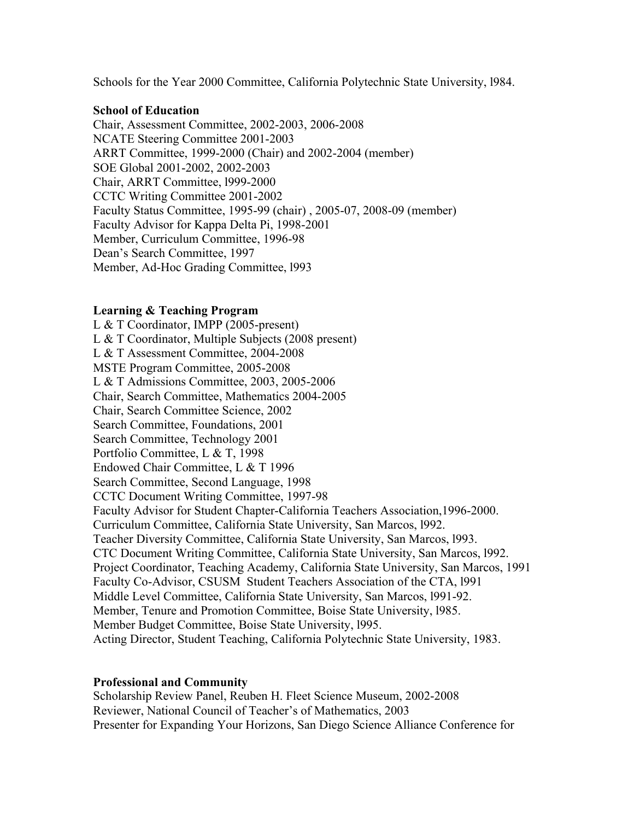Schools for the Year 2000 Committee, California Polytechnic State University, l984.

#### **School of Education**

Chair, Assessment Committee, 2002-2003, 2006-2008 NCATE Steering Committee 2001-2003 ARRT Committee, 1999-2000 (Chair) and 2002-2004 (member) SOE Global 2001-2002, 2002-2003 Chair, ARRT Committee, l999-2000 CCTC Writing Committee 2001-2002 Faculty Status Committee, 1995-99 (chair) , 2005-07, 2008-09 (member) Faculty Advisor for Kappa Delta Pi, 1998-2001 Member, Curriculum Committee, 1996-98 Dean's Search Committee, 1997 Member, Ad-Hoc Grading Committee, l993

### **Learning & Teaching Program**

L & T Coordinator, IMPP (2005-present) L & T Coordinator, Multiple Subjects (2008 present) L & T Assessment Committee, 2004-2008 MSTE Program Committee, 2005-2008 L & T Admissions Committee, 2003, 2005-2006 Chair, Search Committee, Mathematics 2004-2005 Chair, Search Committee Science, 2002 Search Committee, Foundations, 2001 Search Committee, Technology 2001 Portfolio Committee, L & T, 1998 Endowed Chair Committee, L & T 1996 Search Committee, Second Language, 1998 CCTC Document Writing Committee, 1997-98 Faculty Advisor for Student Chapter-California Teachers Association,1996-2000. Curriculum Committee, California State University, San Marcos, l992. Teacher Diversity Committee, California State University, San Marcos, l993. CTC Document Writing Committee, California State University, San Marcos, l992. Project Coordinator, Teaching Academy, California State University, San Marcos, 1991 Faculty Co-Advisor, CSUSM Student Teachers Association of the CTA, l991 Middle Level Committee, California State University, San Marcos, l991-92. Member, Tenure and Promotion Committee, Boise State University, l985. Member Budget Committee, Boise State University, l995. Acting Director, Student Teaching, California Polytechnic State University, 1983.

#### **Professional and Community**

Scholarship Review Panel, Reuben H. Fleet Science Museum, 2002-2008 Reviewer, National Council of Teacher's of Mathematics, 2003 Presenter for Expanding Your Horizons, San Diego Science Alliance Conference for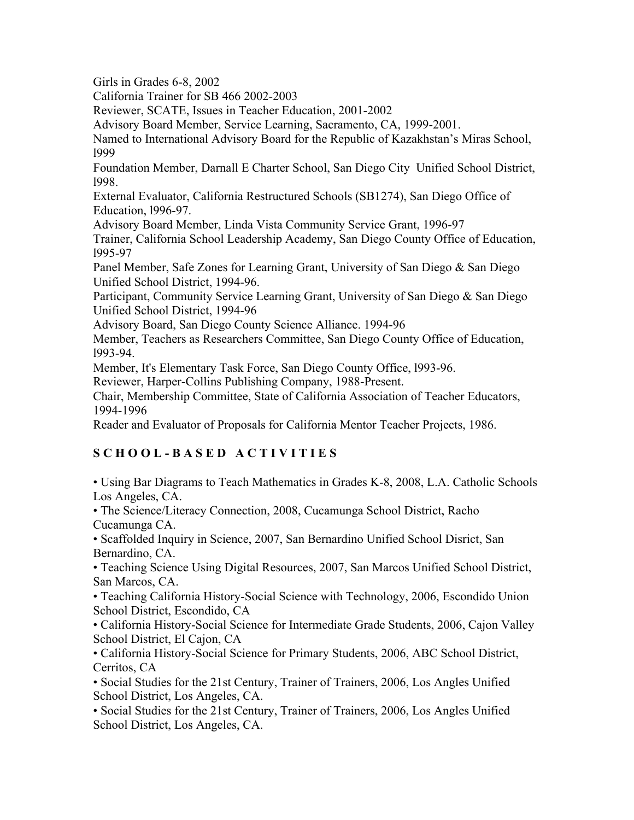Girls in Grades 6-8, 2002

California Trainer for SB 466 2002-2003

Reviewer, SCATE, Issues in Teacher Education, 2001-2002

Advisory Board Member, Service Learning, Sacramento, CA, 1999-2001.

Named to International Advisory Board for the Republic of Kazakhstan's Miras School, l999

Foundation Member, Darnall E Charter School, San Diego City Unified School District, l998.

External Evaluator, California Restructured Schools (SB1274), San Diego Office of Education, l996-97.

Advisory Board Member, Linda Vista Community Service Grant, 1996-97

Trainer, California School Leadership Academy, San Diego County Office of Education, l995-97

Panel Member, Safe Zones for Learning Grant, University of San Diego & San Diego Unified School District, 1994-96.

Participant, Community Service Learning Grant, University of San Diego & San Diego Unified School District, 1994-96

Advisory Board, San Diego County Science Alliance. 1994-96

Member, Teachers as Researchers Committee, San Diego County Office of Education, l993-94.

Member, It's Elementary Task Force, San Diego County Office, l993-96.

Reviewer, Harper-Collins Publishing Company, 1988-Present.

Chair, Membership Committee, State of California Association of Teacher Educators, 1994-1996

Reader and Evaluator of Proposals for California Mentor Teacher Projects, 1986.

# **S C H O O L - B A S E D A C T I V I T I E S**

• Using Bar Diagrams to Teach Mathematics in Grades K-8, 2008, L.A. Catholic Schools Los Angeles, CA.

• The Science/Literacy Connection, 2008, Cucamunga School District, Racho Cucamunga CA.

• Scaffolded Inquiry in Science, 2007, San Bernardino Unified School Disrict, San Bernardino, CA.

• Teaching Science Using Digital Resources, 2007, San Marcos Unified School District, San Marcos, CA.

• Teaching California History-Social Science with Technology, 2006, Escondido Union School District, Escondido, CA

• California History-Social Science for Intermediate Grade Students, 2006, Cajon Valley School District, El Cajon, CA

• California History-Social Science for Primary Students, 2006, ABC School District, Cerritos, CA

• Social Studies for the 21st Century, Trainer of Trainers, 2006, Los Angles Unified School District, Los Angeles, CA.

• Social Studies for the 21st Century, Trainer of Trainers, 2006, Los Angles Unified School District, Los Angeles, CA.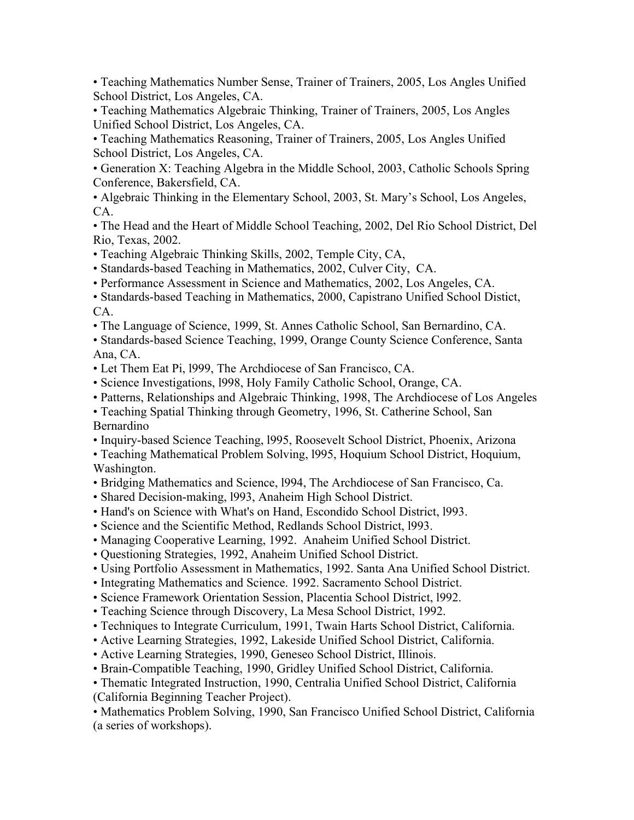• Teaching Mathematics Number Sense, Trainer of Trainers, 2005, Los Angles Unified School District, Los Angeles, CA.

• Teaching Mathematics Algebraic Thinking, Trainer of Trainers, 2005, Los Angles Unified School District, Los Angeles, CA.

• Teaching Mathematics Reasoning, Trainer of Trainers, 2005, Los Angles Unified School District, Los Angeles, CA.

• Generation X: Teaching Algebra in the Middle School, 2003, Catholic Schools Spring Conference, Bakersfield, CA.

• Algebraic Thinking in the Elementary School, 2003, St. Mary's School, Los Angeles, CA.

• The Head and the Heart of Middle School Teaching, 2002, Del Rio School District, Del Rio, Texas, 2002.

• Teaching Algebraic Thinking Skills, 2002, Temple City, CA,

• Standards-based Teaching in Mathematics, 2002, Culver City, CA.

• Performance Assessment in Science and Mathematics, 2002, Los Angeles, CA.

• Standards-based Teaching in Mathematics, 2000, Capistrano Unified School Distict, CA.

• The Language of Science, 1999, St. Annes Catholic School, San Bernardino, CA.

• Standards-based Science Teaching, 1999, Orange County Science Conference, Santa Ana, CA.

• Let Them Eat Pi, l999, The Archdiocese of San Francisco, CA.

- Science Investigations, l998, Holy Family Catholic School, Orange, CA.
- Patterns, Relationships and Algebraic Thinking, 1998, The Archdiocese of Los Angeles

• Teaching Spatial Thinking through Geometry, 1996, St. Catherine School, San Bernardino

• Inquiry-based Science Teaching, l995, Roosevelt School District, Phoenix, Arizona

• Teaching Mathematical Problem Solving, l995, Hoquium School District, Hoquium, Washington.

• Bridging Mathematics and Science, l994, The Archdiocese of San Francisco, Ca.

- Shared Decision-making, l993, Anaheim High School District.
- Hand's on Science with What's on Hand, Escondido School District, l993.
- Science and the Scientific Method, Redlands School District, l993.
- Managing Cooperative Learning, 1992. Anaheim Unified School District.
- Questioning Strategies, 1992, Anaheim Unified School District.

• Using Portfolio Assessment in Mathematics, 1992. Santa Ana Unified School District.

- Integrating Mathematics and Science. 1992. Sacramento School District.
- Science Framework Orientation Session, Placentia School District, l992.
- Teaching Science through Discovery, La Mesa School District, 1992.
- Techniques to Integrate Curriculum, 1991, Twain Harts School District, California.
- Active Learning Strategies, 1992, Lakeside Unified School District, California.
- Active Learning Strategies, 1990, Geneseo School District, Illinois.
- Brain-Compatible Teaching, 1990, Gridley Unified School District, California.

• Thematic Integrated Instruction, 1990, Centralia Unified School District, California

(California Beginning Teacher Project).

• Mathematics Problem Solving, 1990, San Francisco Unified School District, California (a series of workshops).